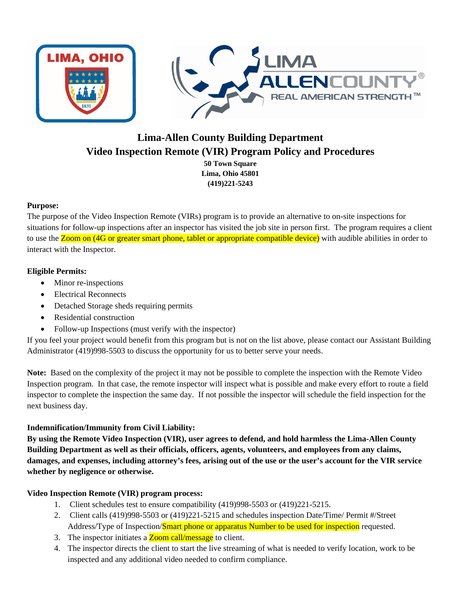

# **Lima-Allen County Building Department Video Inspection Remote (VIR) Program Policy and Procedures**

**50 Town Square Lima, Ohio 45801 (419)221-5243** 

## **Purpose:**

The purpose of the Video Inspection Remote (VIRs) program is to provide an alternative to on-site inspections for situations for follow-up inspections after an inspector has visited the job site in person first. The program requires a client to use the Zoom on (4G or greater smart phone, tablet or appropriate compatible device) with audible abilities in order to interact with the Inspector.

## **Eligible Permits:**

- Minor re-inspections
- Electrical Reconnects
- Detached Storage sheds requiring permits
- Residential construction
- Follow-up Inspections (must verify with the inspector)

If you feel your project would benefit from this program but is not on the list above, please contact our Assistant Building Administrator (419)998-5503 to discuss the opportunity for us to better serve your needs.

**Note:** Based on the complexity of the project it may not be possible to complete the inspection with the Remote Video Inspection program. In that case, the remote inspector will inspect what is possible and make every effort to route a field inspector to complete the inspection the same day. If not possible the inspector will schedule the field inspection for the next business day.

# **Indemnification/Immunity from Civil Liability:**

**By using the Remote Video Inspection (VIR), user agrees to defend, and hold harmless the Lima-Allen County Building Department as well as their officials, officers, agents, volunteers, and employees from any claims, damages, and expenses, including attorney's fees, arising out of the use or the user's account for the VIR service whether by negligence or otherwise.** 

# **Video Inspection Remote (VIR) program process:**

- 1. Client schedules test to ensure compatibility (419)998-5503 or (419)221-5215.
- 2. Client calls (419)998-5503 or (419)221-5215 and schedules inspection Date/Time/ Permit #/Street Address/Type of Inspection/Smart phone or apparatus Number to be used for inspection requested.
- 3. The inspector initiates a **Zoom call/message** to client.
- 4. The inspector directs the client to start the live streaming of what is needed to verify location, work to be inspected and any additional video needed to confirm compliance.